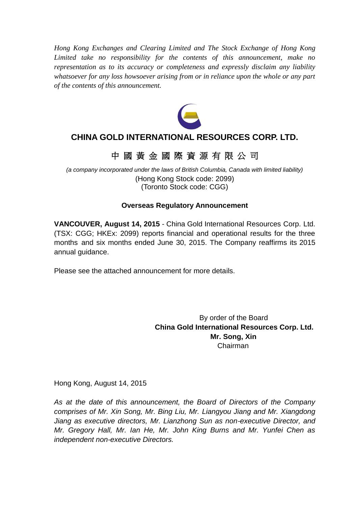*Hong Kong Exchanges and Clearing Limited and The Stock Exchange of Hong Kong Limited take no responsibility for the contents of this announcement, make no representation as to its accuracy or completeness and expressly disclaim any liability whatsoever for any loss howsoever arising from or in reliance upon the whole or any part of the contents of this announcement.*



# **CHINA GOLD INTERNATIONAL RESOURCES CORP. LTD.**

# 中 國 黃 金 國 際 資 源 有 限 公 司

*(a company incorporated under the laws of British Columbia, Canada with limited liability)* (Hong Kong Stock code: 2099) (Toronto Stock code: CGG)

# **Overseas Regulatory Announcement**

**VANCOUVER, August 14, 2015** - China Gold International Resources Corp. Ltd. (TSX: CGG; HKEx: 2099) reports financial and operational results for the three months and six months ended June 30, 2015. The Company reaffirms its 2015 annual guidance.

Please see the attached announcement for more details.

By order of the Board **China Gold International Resources Corp. Ltd. Mr. Song, Xin** Chairman

Hong Kong, August 14, 2015

*As at the date of this announcement, the Board of Directors of the Company comprises of Mr. Xin Song, Mr. Bing Liu, Mr. Liangyou Jiang and Mr. Xiangdong Jiang as executive directors, Mr. Lianzhong Sun as non-executive Director, and Mr. Gregory Hall, Mr. Ian He, Mr. John King Burns and Mr. Yunfei Chen as independent non-executive Directors.*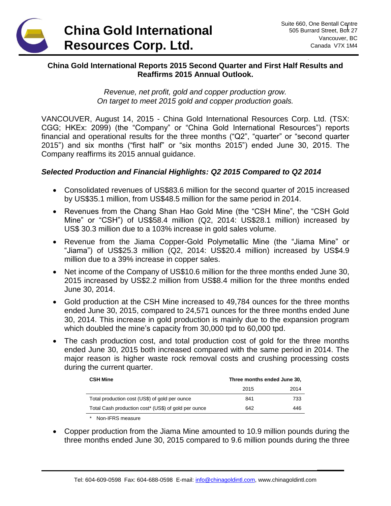

**\_\_\_\_\_\_**

# **China Gold International Reports 2015 Second Quarter and First Half Results and Reaffirms 2015 Annual Outlook.**

*Revenue, net profit, gold and copper production grow. On target to meet 2015 gold and copper production goals.*

VANCOUVER, August 14, 2015 - China Gold International Resources Corp. Ltd. (TSX: CGG; HKEx: 2099) (the "Company" or "China Gold International Resources") reports financial and operational results for the three months ("Q2", "quarter" or "second quarter 2015") and six months ("first half" or "six months 2015") ended June 30, 2015. The Company reaffirms its 2015 annual guidance.

# *Selected Production and Financial Highlights: Q2 2015 Compared to Q2 2014*

- Consolidated revenues of US\$83.6 million for the second quarter of 2015 increased by US\$35.1 million, from US\$48.5 million for the same period in 2014.
- Revenues from the Chang Shan Hao Gold Mine (the "CSH Mine", the "CSH Gold Mine" or "CSH") of US\$58.4 million (Q2, 2014: US\$28.1 million) increased by US\$ 30.3 million due to a 103% increase in gold sales volume.
- Revenue from the Jiama Copper-Gold Polymetallic Mine (the "Jiama Mine" or "Jiama") of US\$25.3 million (Q2, 2014: US\$20.4 million) increased by US\$4.9 million due to a 39% increase in copper sales.
- Net income of the Company of US\$10.6 million for the three months ended June 30, 2015 increased by US\$2.2 million from US\$8.4 million for the three months ended June 30, 2014.
- Gold production at the CSH Mine increased to 49,784 ounces for the three months ended June 30, 2015, compared to 24,571 ounces for the three months ended June 30, 2014. This increase in gold production is mainly due to the expansion program which doubled the mine's capacity from 30,000 tpd to 60,000 tpd.
- The cash production cost, and total production cost of gold for the three months ended June 30, 2015 both increased compared with the same period in 2014. The major reason is higher waste rock removal costs and crushing processing costs during the current quarter.

| <b>CSH Mine</b>                                      | Three months ended June 30, |      |
|------------------------------------------------------|-----------------------------|------|
|                                                      | 2015                        | 2014 |
| Total production cost (US\$) of gold per ounce       | 841                         | 733  |
| Total Cash production cost* (US\$) of gold per ounce | 642                         | 446  |

- *\** Non-IFRS measure
- Copper production from the Jiama Mine amounted to 10.9 million pounds during the three months ended June 30, 2015 compared to 9.6 million pounds during the three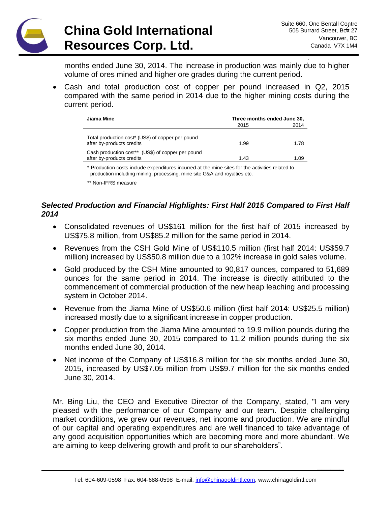# **China Gold International Resources Corp. Ltd.**

**\_\_\_\_\_\_**

months ended June 30, 2014. The increase in production was mainly due to higher volume of ores mined and higher ore grades during the current period.

 Cash and total production cost of copper per pound increased in Q2, 2015 compared with the same period in 2014 due to the higher mining costs during the current period.

| Jiama Mine                                                                     | Three months ended June 30, |      |
|--------------------------------------------------------------------------------|-----------------------------|------|
|                                                                                | 2015                        | 2014 |
| Total production cost* (US\$) of copper per pound<br>after by-products credits | 1.99                        | 1.78 |
| Cash production cost** (US\$) of copper per pound<br>after by-products credits | 1.43                        | 1.09 |

\* Production costs include expenditures incurred at the mine sites for the activities related to production including mining, processing, mine site G&A and royalties etc.

\*\* Non-IFRS measure

# *Selected Production and Financial Highlights: First Half 2015 Compared to First Half 2014*

- Consolidated revenues of US\$161 million for the first half of 2015 increased by US\$75.8 million, from US\$85.2 million for the same period in 2014.
- Revenues from the CSH Gold Mine of US\$110.5 million (first half 2014: US\$59.7 million) increased by US\$50.8 million due to a 102% increase in gold sales volume.
- Gold produced by the CSH Mine amounted to 90,817 ounces, compared to 51,689 ounces for the same period in 2014. The increase is directly attributed to the commencement of commercial production of the new heap leaching and processing system in October 2014.
- Revenue from the Jiama Mine of US\$50.6 million (first half 2014: US\$25.5 million) increased mostly due to a significant increase in copper production.
- Copper production from the Jiama Mine amounted to 19.9 million pounds during the six months ended June 30, 2015 compared to 11.2 million pounds during the six months ended June 30, 2014.
- Net income of the Company of US\$16.8 million for the six months ended June 30, 2015, increased by US\$7.05 million from US\$9.7 million for the six months ended June 30, 2014.

Mr. Bing Liu, the CEO and Executive Director of the Company, stated, "I am very pleased with the performance of our Company and our team. Despite challenging market conditions, we grew our revenues, net income and production. We are mindful of our capital and operating expenditures and are well financed to take advantage of any good acquisition opportunities which are becoming more and more abundant. We are aiming to keep delivering growth and profit to our shareholders".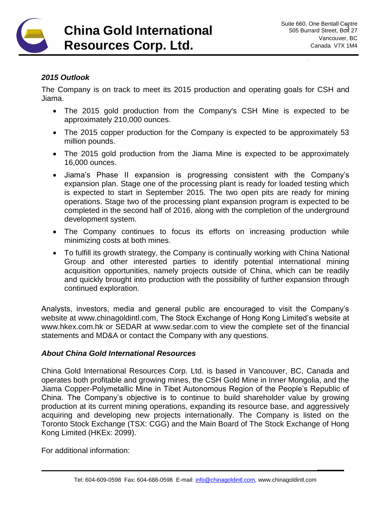

**\_\_\_\_\_\_**

## *2015 Outlook*

The Company is on track to meet its 2015 production and operating goals for CSH and Jiama.

- The 2015 gold production from the Company's CSH Mine is expected to be approximately 210,000 ounces.
- The 2015 copper production for the Company is expected to be approximately 53 million pounds.
- The 2015 gold production from the Jiama Mine is expected to be approximately 16,000 ounces.
- Jiama's Phase II expansion is progressing consistent with the Company's expansion plan. Stage one of the processing plant is ready for loaded testing which is expected to start in September 2015. The two open pits are ready for mining operations. Stage two of the processing plant expansion program is expected to be completed in the second half of 2016, along with the completion of the underground development system.
- The Company continues to focus its efforts on increasing production while minimizing costs at both mines.
- To fulfill its growth strategy, the Company is continually working with China National Group and other interested parties to identify potential international mining acquisition opportunities, namely projects outside of China, which can be readily and quickly brought into production with the possibility of further expansion through continued exploration.

Analysts, investors, media and general public are encouraged to visit the Company's website at [www.chinagoldintl.com,](http://www.chinagoldintl.com/) The Stock Exchange of Hong Kong Limited's website at www.hkex.com.hk or SEDAR at [www.sedar.com](http://www.sedar.com/) to view the complete set of the financial statements and MD&A or contact the Company with any questions.

## *About China Gold International Resources*

China Gold International Resources Corp. Ltd. is based in Vancouver, BC, Canada and operates both profitable and growing mines, the CSH Gold Mine in Inner Mongolia, and the Jiama Copper-Polymetallic Mine in Tibet Autonomous Region of the People's Republic of China. The Company's objective is to continue to build shareholder value by growing production at its current mining operations, expanding its resource base, and aggressively acquiring and developing new projects internationally. The Company is listed on the Toronto Stock Exchange (TSX: CGG) and the Main Board of The Stock Exchange of Hong Kong Limited (HKEx: 2099).

For additional information: